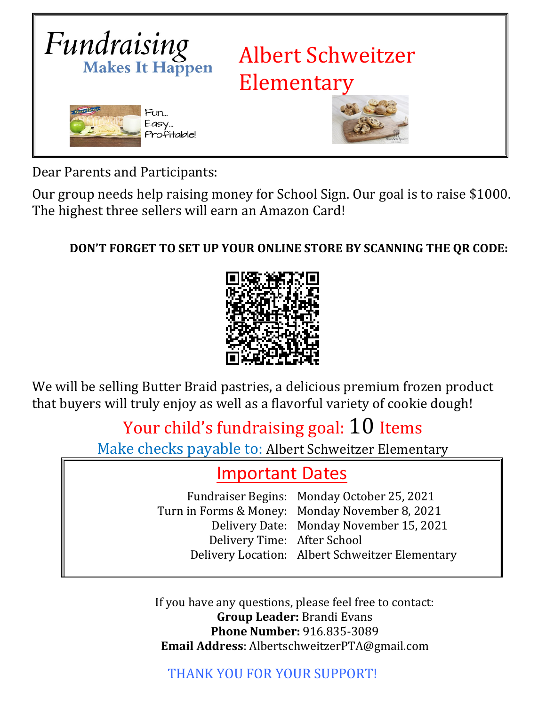

Dear Parents and Participants:

Our group needs help raising money for School Sign. Our goal is to raise \$1000. The highest three sellers will earn an Amazon Card!

## **DON'T FORGET TO SET UP YOUR ONLINE STORE BY SCANNING THE QR CODE:**



We will be selling Butter Braid pastries, a delicious premium frozen product that buyers will truly enjoy as well as a flavorful variety of cookie dough!

## Your child's fundraising goal: 10 Items

Make checks payable to: Albert Schweitzer Elementary

## Important Dates

Fundraiser Begins: Monday October 25, 2021 Turn in Forms & Money: Monday November 8, 2021 Delivery Date: Monday November 15, 2021 Delivery Time: After School Delivery Location: Albert Schweitzer Elementary

If you have any questions, please feel free to contact: **Group Leader:** Brandi Evans **Phone Number:** 916.835-3089 **Email Address**: AlbertschweitzerPTA@gmail.com

THANK YOU FOR YOUR SUPPORT!